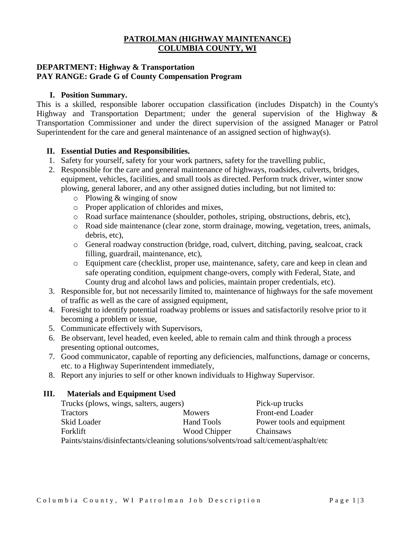### **PATROLMAN (HIGHWAY MAINTENANCE) COLUMBIA COUNTY, WI**

# **DEPARTMENT: Highway & Transportation PAY RANGE: Grade G of County Compensation Program**

### **I. Position Summary.**

This is a skilled, responsible laborer occupation classification (includes Dispatch) in the County's Highway and Transportation Department; under the general supervision of the Highway & Transportation Commissioner and under the direct supervision of the assigned Manager or Patrol Superintendent for the care and general maintenance of an assigned section of highway(s).

### **II. Essential Duties and Responsibilities.**

- 1. Safety for yourself, safety for your work partners, safety for the travelling public,
- 2. Responsible for the care and general maintenance of highways, roadsides, culverts, bridges, equipment, vehicles, facilities, and small tools as directed. Perform truck driver, winter snow plowing, general laborer, and any other assigned duties including, but not limited to:
	- o Plowing & winging of snow
	- o Proper application of chlorides and mixes,
	- o Road surface maintenance (shoulder, potholes, striping, obstructions, debris, etc),
	- o Road side maintenance (clear zone, storm drainage, mowing, vegetation, trees, animals, debris, etc),
	- o General roadway construction (bridge, road, culvert, ditching, paving, sealcoat, crack filling, guardrail, maintenance, etc),
	- o Equipment care (checklist, proper use, maintenance, safety, care and keep in clean and safe operating condition, equipment change-overs, comply with Federal, State, and County drug and alcohol laws and policies, maintain proper credentials, etc).
- 3. Responsible for, but not necessarily limited to, maintenance of highways for the safe movement of traffic as well as the care of assigned equipment,
- 4. Foresight to identify potential roadway problems or issues and satisfactorily resolve prior to it becoming a problem or issue,
- 5. Communicate effectively with Supervisors,
- 6. Be observant, level headed, even keeled, able to remain calm and think through a process presenting optional outcomes,
- 7. Good communicator, capable of reporting any deficiencies, malfunctions, damage or concerns, etc. to a Highway Superintendent immediately,
- 8. Report any injuries to self or other known individuals to Highway Supervisor.

### **III. Materials and Equipment Used**

| Trucks (plows, wings, salters, augers)                                               |               | Pick-up trucks            |
|--------------------------------------------------------------------------------------|---------------|---------------------------|
| <b>Tractors</b>                                                                      | <b>Mowers</b> | Front-end Loader          |
| Skid Loader                                                                          | Hand Tools    | Power tools and equipment |
| Forklift                                                                             | Wood Chipper  | <b>Chainsaws</b>          |
| Dainte/staine/disinfectante/classing solutions/solvents/road salt/cement/asphalt/etc |               |                           |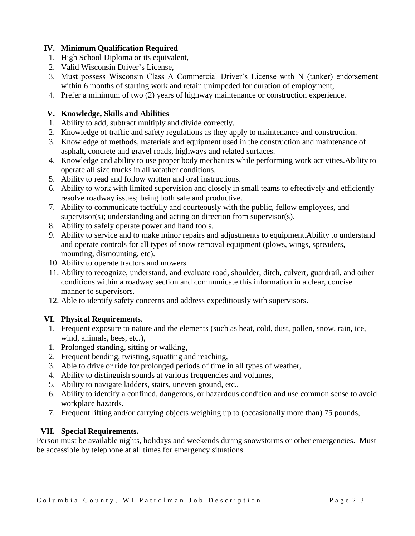# **IV. Minimum Qualification Required**

- 1. High School Diploma or its equivalent,
- 2. Valid Wisconsin Driver's License,
- 3. Must possess Wisconsin Class A Commercial Driver's License with N (tanker) endorsement within 6 months of starting work and retain unimpeded for duration of employment,
- 4. Prefer a minimum of two (2) years of highway maintenance or construction experience.

## **V. Knowledge, Skills and Abilities**

- 1. Ability to add, subtract multiply and divide correctly.
- 2. Knowledge of traffic and safety regulations as they apply to maintenance and construction.
- 3. Knowledge of methods, materials and equipment used in the construction and maintenance of asphalt, concrete and gravel roads, highways and related surfaces.
- 4. Knowledge and ability to use proper body mechanics while performing work activities.Ability to operate all size trucks in all weather conditions.
- 5. Ability to read and follow written and oral instructions.
- 6. Ability to work with limited supervision and closely in small teams to effectively and efficiently resolve roadway issues; being both safe and productive.
- 7. Ability to communicate tactfully and courteously with the public, fellow employees, and supervisor(s); understanding and acting on direction from supervisor(s).
- 8. Ability to safely operate power and hand tools.
- 9. Ability to service and to make minor repairs and adjustments to equipment.Ability to understand and operate controls for all types of snow removal equipment (plows, wings, spreaders, mounting, dismounting, etc).
- 10. Ability to operate tractors and mowers.
- 11. Ability to recognize, understand, and evaluate road, shoulder, ditch, culvert, guardrail, and other conditions within a roadway section and communicate this information in a clear, concise manner to supervisors.
- 12. Able to identify safety concerns and address expeditiously with supervisors.

### **VI. Physical Requirements.**

- 1. Frequent exposure to nature and the elements (such as heat, cold, dust, pollen, snow, rain, ice, wind, animals, bees, etc.),
- 1. Prolonged standing, sitting or walking,
- 2. Frequent bending, twisting, squatting and reaching,
- 3. Able to drive or ride for prolonged periods of time in all types of weather,
- 4. Ability to distinguish sounds at various frequencies and volumes,
- 5. Ability to navigate ladders, stairs, uneven ground, etc.,
- 6. Ability to identify a confined, dangerous, or hazardous condition and use common sense to avoid workplace hazards.
- 7. Frequent lifting and/or carrying objects weighing up to (occasionally more than) 75 pounds,

### **VII. Special Requirements.**

Person must be available nights, holidays and weekends during snowstorms or other emergencies. Must be accessible by telephone at all times for emergency situations.